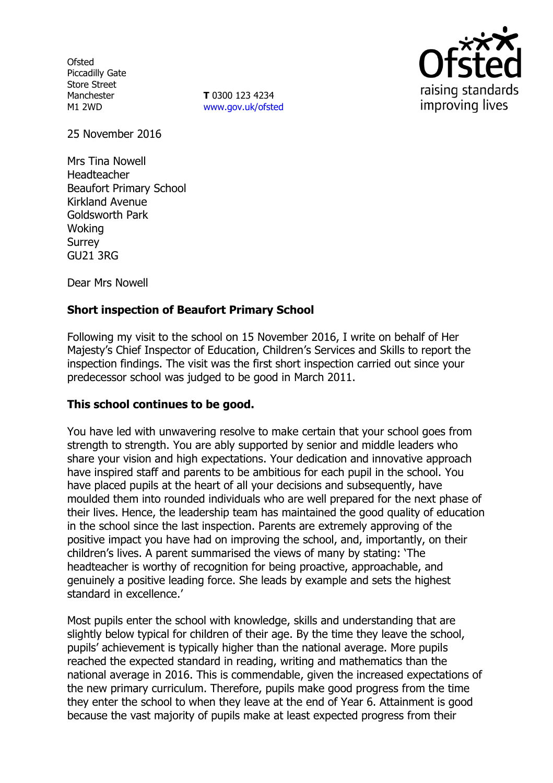**Ofsted** Piccadilly Gate Store Street Manchester M1 2WD

**T** 0300 123 4234 www.gov.uk/ofsted



25 November 2016

Mrs Tina Nowell Headteacher Beaufort Primary School Kirkland Avenue Goldsworth Park Woking Surrey GU21 3RG

Dear Mrs Nowell

## **Short inspection of Beaufort Primary School**

Following my visit to the school on 15 November 2016, I write on behalf of Her Majesty's Chief Inspector of Education, Children's Services and Skills to report the inspection findings. The visit was the first short inspection carried out since your predecessor school was judged to be good in March 2011.

### **This school continues to be good.**

You have led with unwavering resolve to make certain that your school goes from strength to strength. You are ably supported by senior and middle leaders who share your vision and high expectations. Your dedication and innovative approach have inspired staff and parents to be ambitious for each pupil in the school. You have placed pupils at the heart of all your decisions and subsequently, have moulded them into rounded individuals who are well prepared for the next phase of their lives. Hence, the leadership team has maintained the good quality of education in the school since the last inspection. Parents are extremely approving of the positive impact you have had on improving the school, and, importantly, on their children's lives. A parent summarised the views of many by stating: 'The headteacher is worthy of recognition for being proactive, approachable, and genuinely a positive leading force. She leads by example and sets the highest standard in excellence.'

Most pupils enter the school with knowledge, skills and understanding that are slightly below typical for children of their age. By the time they leave the school, pupils' achievement is typically higher than the national average. More pupils reached the expected standard in reading, writing and mathematics than the national average in 2016. This is commendable, given the increased expectations of the new primary curriculum. Therefore, pupils make good progress from the time they enter the school to when they leave at the end of Year 6. Attainment is good because the vast majority of pupils make at least expected progress from their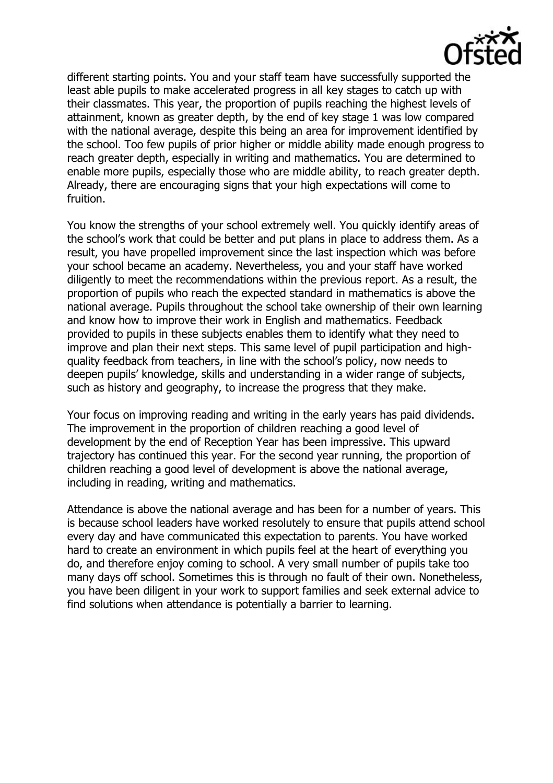

different starting points. You and your staff team have successfully supported the least able pupils to make accelerated progress in all key stages to catch up with their classmates. This year, the proportion of pupils reaching the highest levels of attainment, known as greater depth, by the end of key stage 1 was low compared with the national average, despite this being an area for improvement identified by the school. Too few pupils of prior higher or middle ability made enough progress to reach greater depth, especially in writing and mathematics. You are determined to enable more pupils, especially those who are middle ability, to reach greater depth. Already, there are encouraging signs that your high expectations will come to fruition.

You know the strengths of your school extremely well. You quickly identify areas of the school's work that could be better and put plans in place to address them. As a result, you have propelled improvement since the last inspection which was before your school became an academy. Nevertheless, you and your staff have worked diligently to meet the recommendations within the previous report. As a result, the proportion of pupils who reach the expected standard in mathematics is above the national average. Pupils throughout the school take ownership of their own learning and know how to improve their work in English and mathematics. Feedback provided to pupils in these subjects enables them to identify what they need to improve and plan their next steps. This same level of pupil participation and highquality feedback from teachers, in line with the school's policy, now needs to deepen pupils' knowledge, skills and understanding in a wider range of subjects, such as history and geography, to increase the progress that they make.

Your focus on improving reading and writing in the early years has paid dividends. The improvement in the proportion of children reaching a good level of development by the end of Reception Year has been impressive. This upward trajectory has continued this year. For the second year running, the proportion of children reaching a good level of development is above the national average, including in reading, writing and mathematics.

Attendance is above the national average and has been for a number of years. This is because school leaders have worked resolutely to ensure that pupils attend school every day and have communicated this expectation to parents. You have worked hard to create an environment in which pupils feel at the heart of everything you do, and therefore enjoy coming to school. A very small number of pupils take too many days off school. Sometimes this is through no fault of their own. Nonetheless, you have been diligent in your work to support families and seek external advice to find solutions when attendance is potentially a barrier to learning.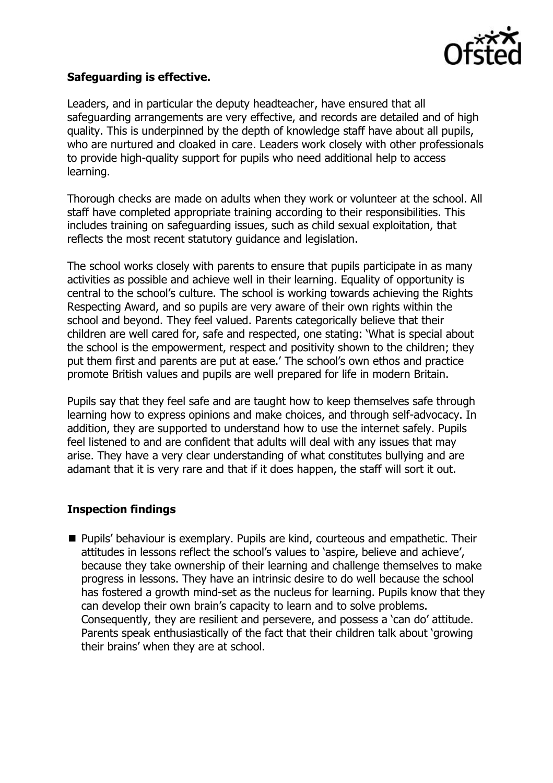

## **Safeguarding is effective.**

Leaders, and in particular the deputy headteacher, have ensured that all safeguarding arrangements are very effective, and records are detailed and of high quality. This is underpinned by the depth of knowledge staff have about all pupils, who are nurtured and cloaked in care. Leaders work closely with other professionals to provide high-quality support for pupils who need additional help to access learning.

Thorough checks are made on adults when they work or volunteer at the school. All staff have completed appropriate training according to their responsibilities. This includes training on safeguarding issues, such as child sexual exploitation, that reflects the most recent statutory guidance and legislation.

The school works closely with parents to ensure that pupils participate in as many activities as possible and achieve well in their learning. Equality of opportunity is central to the school's culture. The school is working towards achieving the Rights Respecting Award, and so pupils are very aware of their own rights within the school and beyond. They feel valued. Parents categorically believe that their children are well cared for, safe and respected, one stating: 'What is special about the school is the empowerment, respect and positivity shown to the children; they put them first and parents are put at ease.' The school's own ethos and practice promote British values and pupils are well prepared for life in modern Britain.

Pupils say that they feel safe and are taught how to keep themselves safe through learning how to express opinions and make choices, and through self-advocacy. In addition, they are supported to understand how to use the internet safely. Pupils feel listened to and are confident that adults will deal with any issues that may arise. They have a very clear understanding of what constitutes bullying and are adamant that it is very rare and that if it does happen, the staff will sort it out.

# **Inspection findings**

■ Pupils' behaviour is exemplary. Pupils are kind, courteous and empathetic. Their attitudes in lessons reflect the school's values to 'aspire, believe and achieve', because they take ownership of their learning and challenge themselves to make progress in lessons. They have an intrinsic desire to do well because the school has fostered a growth mind-set as the nucleus for learning. Pupils know that they can develop their own brain's capacity to learn and to solve problems. Consequently, they are resilient and persevere, and possess a 'can do' attitude. Parents speak enthusiastically of the fact that their children talk about 'growing their brains' when they are at school.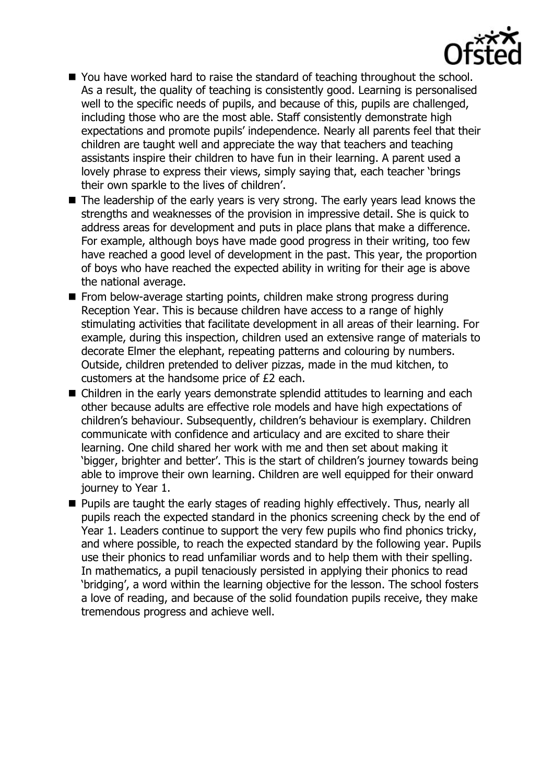

- You have worked hard to raise the standard of teaching throughout the school. As a result, the quality of teaching is consistently good. Learning is personalised well to the specific needs of pupils, and because of this, pupils are challenged, including those who are the most able. Staff consistently demonstrate high expectations and promote pupils' independence. Nearly all parents feel that their children are taught well and appreciate the way that teachers and teaching assistants inspire their children to have fun in their learning. A parent used a lovely phrase to express their views, simply saying that, each teacher 'brings their own sparkle to the lives of children'.
- $\blacksquare$  The leadership of the early years is very strong. The early years lead knows the strengths and weaknesses of the provision in impressive detail. She is quick to address areas for development and puts in place plans that make a difference. For example, although boys have made good progress in their writing, too few have reached a good level of development in the past. This year, the proportion of boys who have reached the expected ability in writing for their age is above the national average.
- From below-average starting points, children make strong progress during Reception Year. This is because children have access to a range of highly stimulating activities that facilitate development in all areas of their learning. For example, during this inspection, children used an extensive range of materials to decorate Elmer the elephant, repeating patterns and colouring by numbers. Outside, children pretended to deliver pizzas, made in the mud kitchen, to customers at the handsome price of £2 each.
- Children in the early years demonstrate splendid attitudes to learning and each other because adults are effective role models and have high expectations of children's behaviour. Subsequently, children's behaviour is exemplary. Children communicate with confidence and articulacy and are excited to share their learning. One child shared her work with me and then set about making it 'bigger, brighter and better'. This is the start of children's journey towards being able to improve their own learning. Children are well equipped for their onward journey to Year 1.
- Pupils are taught the early stages of reading highly effectively. Thus, nearly all pupils reach the expected standard in the phonics screening check by the end of Year 1. Leaders continue to support the very few pupils who find phonics tricky, and where possible, to reach the expected standard by the following year. Pupils use their phonics to read unfamiliar words and to help them with their spelling. In mathematics, a pupil tenaciously persisted in applying their phonics to read 'bridging', a word within the learning objective for the lesson. The school fosters a love of reading, and because of the solid foundation pupils receive, they make tremendous progress and achieve well.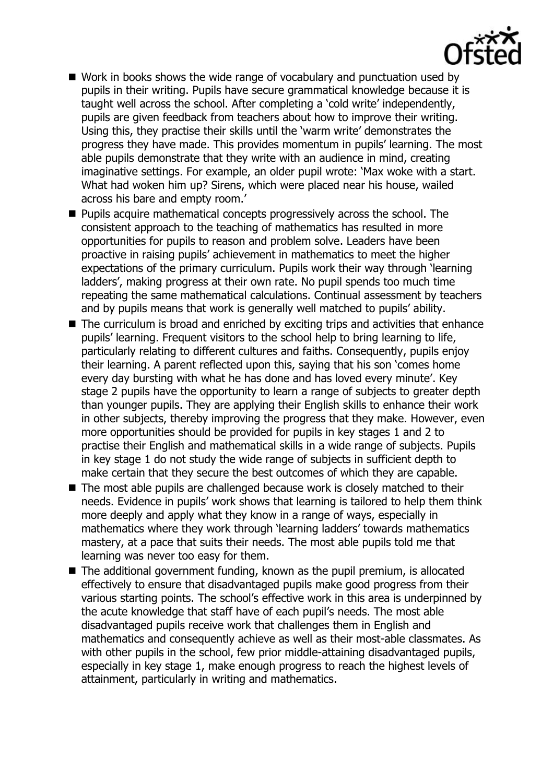

- Work in books shows the wide range of vocabulary and punctuation used by pupils in their writing. Pupils have secure grammatical knowledge because it is taught well across the school. After completing a 'cold write' independently, pupils are given feedback from teachers about how to improve their writing. Using this, they practise their skills until the 'warm write' demonstrates the progress they have made. This provides momentum in pupils' learning. The most able pupils demonstrate that they write with an audience in mind, creating imaginative settings. For example, an older pupil wrote: 'Max woke with a start. What had woken him up? Sirens, which were placed near his house, wailed across his bare and empty room.'
- **Pupils acquire mathematical concepts progressively across the school. The** consistent approach to the teaching of mathematics has resulted in more opportunities for pupils to reason and problem solve. Leaders have been proactive in raising pupils' achievement in mathematics to meet the higher expectations of the primary curriculum. Pupils work their way through 'learning ladders', making progress at their own rate. No pupil spends too much time repeating the same mathematical calculations. Continual assessment by teachers and by pupils means that work is generally well matched to pupils' ability.
- The curriculum is broad and enriched by exciting trips and activities that enhance pupils' learning. Frequent visitors to the school help to bring learning to life, particularly relating to different cultures and faiths. Consequently, pupils enjoy their learning. A parent reflected upon this, saying that his son 'comes home every day bursting with what he has done and has loved every minute'. Key stage 2 pupils have the opportunity to learn a range of subjects to greater depth than younger pupils. They are applying their English skills to enhance their work in other subjects, thereby improving the progress that they make. However, even more opportunities should be provided for pupils in key stages 1 and 2 to practise their English and mathematical skills in a wide range of subjects. Pupils in key stage 1 do not study the wide range of subjects in sufficient depth to make certain that they secure the best outcomes of which they are capable.
- The most able pupils are challenged because work is closely matched to their needs. Evidence in pupils' work shows that learning is tailored to help them think more deeply and apply what they know in a range of ways, especially in mathematics where they work through 'learning ladders' towards mathematics mastery, at a pace that suits their needs. The most able pupils told me that learning was never too easy for them.
- $\blacksquare$  The additional government funding, known as the pupil premium, is allocated effectively to ensure that disadvantaged pupils make good progress from their various starting points. The school's effective work in this area is underpinned by the acute knowledge that staff have of each pupil's needs. The most able disadvantaged pupils receive work that challenges them in English and mathematics and consequently achieve as well as their most-able classmates. As with other pupils in the school, few prior middle-attaining disadvantaged pupils, especially in key stage 1, make enough progress to reach the highest levels of attainment, particularly in writing and mathematics.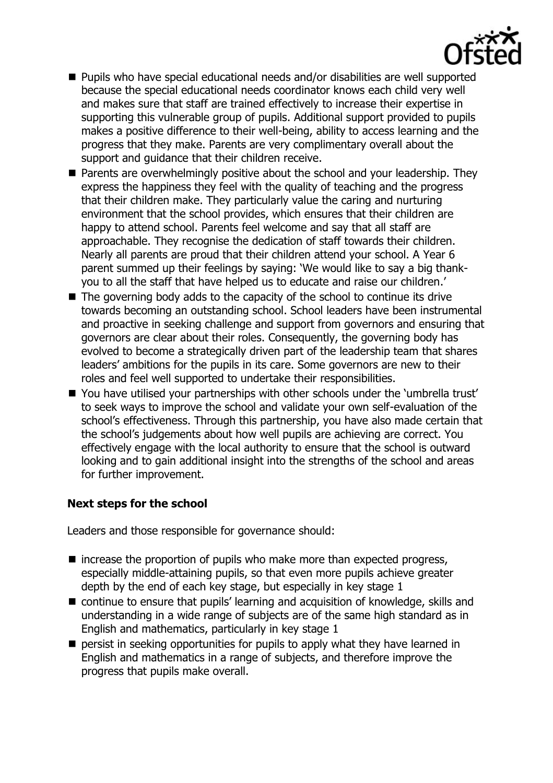

- Pupils who have special educational needs and/or disabilities are well supported because the special educational needs coordinator knows each child very well and makes sure that staff are trained effectively to increase their expertise in supporting this vulnerable group of pupils. Additional support provided to pupils makes a positive difference to their well-being, ability to access learning and the progress that they make. Parents are very complimentary overall about the support and guidance that their children receive.
- $\blacksquare$  Parents are overwhelmingly positive about the school and your leadership. They express the happiness they feel with the quality of teaching and the progress that their children make. They particularly value the caring and nurturing environment that the school provides, which ensures that their children are happy to attend school. Parents feel welcome and say that all staff are approachable. They recognise the dedication of staff towards their children. Nearly all parents are proud that their children attend your school. A Year 6 parent summed up their feelings by saying: 'We would like to say a big thankyou to all the staff that have helped us to educate and raise our children.'
- $\blacksquare$  The governing body adds to the capacity of the school to continue its drive towards becoming an outstanding school. School leaders have been instrumental and proactive in seeking challenge and support from governors and ensuring that governors are clear about their roles. Consequently, the governing body has evolved to become a strategically driven part of the leadership team that shares leaders' ambitions for the pupils in its care. Some governors are new to their roles and feel well supported to undertake their responsibilities.
- You have utilised your partnerships with other schools under the 'umbrella trust' to seek ways to improve the school and validate your own self-evaluation of the school's effectiveness. Through this partnership, you have also made certain that the school's judgements about how well pupils are achieving are correct. You effectively engage with the local authority to ensure that the school is outward looking and to gain additional insight into the strengths of the school and areas for further improvement.

# **Next steps for the school**

Leaders and those responsible for governance should:

- $\blacksquare$  increase the proportion of pupils who make more than expected progress, especially middle-attaining pupils, so that even more pupils achieve greater depth by the end of each key stage, but especially in key stage 1
- continue to ensure that pupils' learning and acquisition of knowledge, skills and understanding in a wide range of subjects are of the same high standard as in English and mathematics, particularly in key stage 1
- $\blacksquare$  persist in seeking opportunities for pupils to apply what they have learned in English and mathematics in a range of subjects, and therefore improve the progress that pupils make overall.